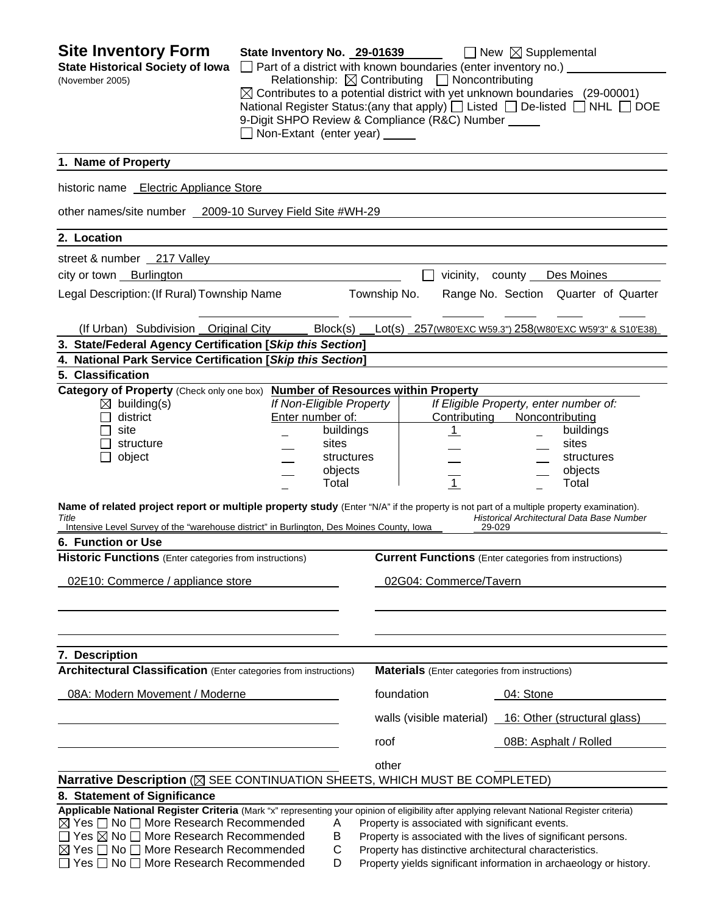| <b>Site Inventory Form</b><br><b>State Historical Society of Iowa</b><br>(November 2005)                                                                                                                                                      | State Inventory No. 29-01639<br>Non-Extant (enter year) _____ |                          |              | Relationship: $\boxtimes$ Contributing $\Box$ Noncontributing<br>9-Digit SHPO Review & Compliance (R&C) Number _____ | $\Box$ New $\boxtimes$ Supplemental<br>$\Box$ Part of a district with known boundaries (enter inventory no.) $\Box$<br>$\boxtimes$ Contributes to a potential district with yet unknown boundaries (29-00001)<br>National Register Status: (any that apply) $\Box$ Listed $\Box$ De-listed $\Box$ NHL $\Box$ DOE |
|-----------------------------------------------------------------------------------------------------------------------------------------------------------------------------------------------------------------------------------------------|---------------------------------------------------------------|--------------------------|--------------|----------------------------------------------------------------------------------------------------------------------|------------------------------------------------------------------------------------------------------------------------------------------------------------------------------------------------------------------------------------------------------------------------------------------------------------------|
| 1. Name of Property                                                                                                                                                                                                                           |                                                               |                          |              |                                                                                                                      |                                                                                                                                                                                                                                                                                                                  |
| historic name Electric Appliance Store                                                                                                                                                                                                        |                                                               |                          |              |                                                                                                                      |                                                                                                                                                                                                                                                                                                                  |
| other names/site number 2009-10 Survey Field Site #WH-29                                                                                                                                                                                      |                                                               |                          |              |                                                                                                                      |                                                                                                                                                                                                                                                                                                                  |
| 2. Location                                                                                                                                                                                                                                   |                                                               |                          |              |                                                                                                                      |                                                                                                                                                                                                                                                                                                                  |
| street & number 217 Valley                                                                                                                                                                                                                    |                                                               |                          |              |                                                                                                                      |                                                                                                                                                                                                                                                                                                                  |
| city or town Burlington                                                                                                                                                                                                                       |                                                               |                          |              |                                                                                                                      | vicinity, county Des Moines                                                                                                                                                                                                                                                                                      |
| Legal Description: (If Rural) Township Name                                                                                                                                                                                                   |                                                               |                          | Township No. |                                                                                                                      | Range No. Section Quarter of Quarter                                                                                                                                                                                                                                                                             |
|                                                                                                                                                                                                                                               |                                                               |                          |              |                                                                                                                      |                                                                                                                                                                                                                                                                                                                  |
| (If Urban) Subdivision Original City                                                                                                                                                                                                          |                                                               | Block(s)                 |              |                                                                                                                      | Lot(s) 257(W80'EXC W59.3") 258(W80'EXC W59'3" & S10'E38)                                                                                                                                                                                                                                                         |
| 3. State/Federal Agency Certification [Skip this Section]                                                                                                                                                                                     |                                                               |                          |              |                                                                                                                      |                                                                                                                                                                                                                                                                                                                  |
| 4. National Park Service Certification [Skip this Section]                                                                                                                                                                                    |                                                               |                          |              |                                                                                                                      |                                                                                                                                                                                                                                                                                                                  |
| 5. Classification<br>Category of Property (Check only one box)                                                                                                                                                                                |                                                               |                          |              | <b>Number of Resources within Property</b>                                                                           |                                                                                                                                                                                                                                                                                                                  |
| $\boxtimes$ building(s)                                                                                                                                                                                                                       |                                                               | If Non-Eligible Property |              |                                                                                                                      | If Eligible Property, enter number of:                                                                                                                                                                                                                                                                           |
| district                                                                                                                                                                                                                                      |                                                               | Enter number of:         |              | Contributing                                                                                                         | Noncontributing                                                                                                                                                                                                                                                                                                  |
| site                                                                                                                                                                                                                                          |                                                               | buildings                |              | $\mathbf{1}$                                                                                                         | buildings                                                                                                                                                                                                                                                                                                        |
| structure                                                                                                                                                                                                                                     |                                                               | sites                    |              |                                                                                                                      | sites                                                                                                                                                                                                                                                                                                            |
| object                                                                                                                                                                                                                                        |                                                               | structures               |              |                                                                                                                      | structures                                                                                                                                                                                                                                                                                                       |
|                                                                                                                                                                                                                                               |                                                               | objects                  |              |                                                                                                                      | objects                                                                                                                                                                                                                                                                                                          |
|                                                                                                                                                                                                                                               |                                                               | Total                    |              | $\overline{1}$                                                                                                       | Total                                                                                                                                                                                                                                                                                                            |
| Name of related project report or multiple property study (Enter "N/A" if the property is not part of a multiple property examination).<br>Title<br>Intensive Level Survey of the "warehouse district" in Burlington, Des Moines County, Iowa |                                                               |                          |              |                                                                                                                      | Historical Architectural Data Base Number<br>29-029                                                                                                                                                                                                                                                              |
| 6. Function or Use                                                                                                                                                                                                                            |                                                               |                          |              |                                                                                                                      |                                                                                                                                                                                                                                                                                                                  |
| Historic Functions (Enter categories from instructions)                                                                                                                                                                                       |                                                               |                          |              |                                                                                                                      | <b>Current Functions</b> (Enter categories from instructions)                                                                                                                                                                                                                                                    |
| 02E10: Commerce / appliance store                                                                                                                                                                                                             |                                                               |                          |              | 02G04: Commerce/Tavern                                                                                               |                                                                                                                                                                                                                                                                                                                  |
|                                                                                                                                                                                                                                               |                                                               |                          |              |                                                                                                                      |                                                                                                                                                                                                                                                                                                                  |
|                                                                                                                                                                                                                                               |                                                               |                          |              |                                                                                                                      |                                                                                                                                                                                                                                                                                                                  |
| 7. Description                                                                                                                                                                                                                                |                                                               |                          |              |                                                                                                                      |                                                                                                                                                                                                                                                                                                                  |
| <b>Architectural Classification</b> (Enter categories from instructions)                                                                                                                                                                      |                                                               |                          |              | <b>Materials</b> (Enter categories from instructions)                                                                |                                                                                                                                                                                                                                                                                                                  |
| 08A: Modern Movement / Moderne                                                                                                                                                                                                                |                                                               |                          |              | foundation                                                                                                           | 04: Stone                                                                                                                                                                                                                                                                                                        |
|                                                                                                                                                                                                                                               |                                                               |                          |              | walls (visible material)                                                                                             | 16: Other (structural glass)                                                                                                                                                                                                                                                                                     |
|                                                                                                                                                                                                                                               |                                                               |                          | roof         |                                                                                                                      | 08B: Asphalt / Rolled                                                                                                                                                                                                                                                                                            |
|                                                                                                                                                                                                                                               |                                                               |                          | other        |                                                                                                                      |                                                                                                                                                                                                                                                                                                                  |
| Narrative Description (X SEE CONTINUATION SHEETS, WHICH MUST BE COMPLETED)                                                                                                                                                                    |                                                               |                          |              |                                                                                                                      |                                                                                                                                                                                                                                                                                                                  |
| 8. Statement of Significance                                                                                                                                                                                                                  |                                                               |                          |              |                                                                                                                      |                                                                                                                                                                                                                                                                                                                  |
| Applicable National Register Criteria (Mark "x" representing your opinion of eligibility after applying relevant National Register criteria)                                                                                                  |                                                               |                          |              |                                                                                                                      |                                                                                                                                                                                                                                                                                                                  |
| ⊠ Yes $\Box$ No $\Box$ More Research Recommended                                                                                                                                                                                              |                                                               | A                        |              | Property is associated with significant events.                                                                      |                                                                                                                                                                                                                                                                                                                  |
| $\Box$ Yes $\boxtimes$ No $\Box$ More Research Recommended                                                                                                                                                                                    |                                                               | Β                        |              |                                                                                                                      | Property is associated with the lives of significant persons.                                                                                                                                                                                                                                                    |
| C<br>$\boxtimes$ Yes $\Box$ No $\Box$ More Research Recommended<br>Property has distinctive architectural characteristics.                                                                                                                    |                                                               |                          |              |                                                                                                                      |                                                                                                                                                                                                                                                                                                                  |
| $\Box$ Yes $\Box$ No $\Box$ More Research Recommended                                                                                                                                                                                         |                                                               | D                        |              |                                                                                                                      | Property yields significant information in archaeology or history.                                                                                                                                                                                                                                               |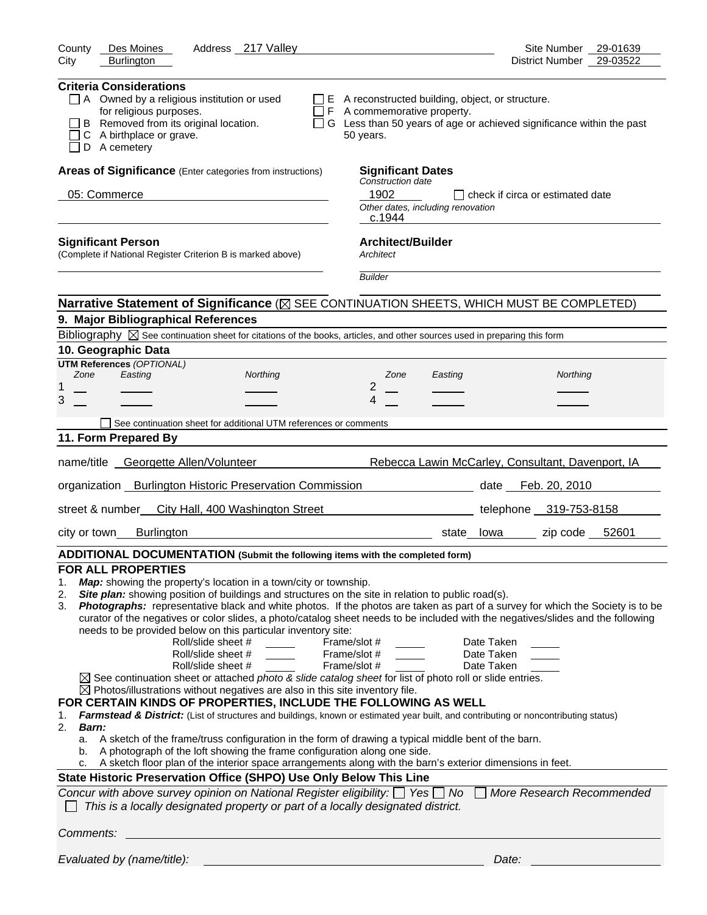| Address 217 Valley<br>County<br>Des Moines                                                                                                                                                                                                                                                                                                                                                                                                                                                                                                                                                                                                                                                                                                                                                                                                                                                                                                                                                                                                                                                                                                                                                                                                                                                                                                                                                                                                                                                                                                                                                                                                                                                        | Site Number<br>29-01639                           |
|---------------------------------------------------------------------------------------------------------------------------------------------------------------------------------------------------------------------------------------------------------------------------------------------------------------------------------------------------------------------------------------------------------------------------------------------------------------------------------------------------------------------------------------------------------------------------------------------------------------------------------------------------------------------------------------------------------------------------------------------------------------------------------------------------------------------------------------------------------------------------------------------------------------------------------------------------------------------------------------------------------------------------------------------------------------------------------------------------------------------------------------------------------------------------------------------------------------------------------------------------------------------------------------------------------------------------------------------------------------------------------------------------------------------------------------------------------------------------------------------------------------------------------------------------------------------------------------------------------------------------------------------------------------------------------------------------|---------------------------------------------------|
| City<br><b>Burlington</b>                                                                                                                                                                                                                                                                                                                                                                                                                                                                                                                                                                                                                                                                                                                                                                                                                                                                                                                                                                                                                                                                                                                                                                                                                                                                                                                                                                                                                                                                                                                                                                                                                                                                         | District Number<br>29-03522                       |
| <b>Criteria Considerations</b><br>$\Box$ A Owned by a religious institution or used<br>$\Box$ E A reconstructed building, object, or structure.<br>$\Box$ F A commemorative property.<br>for religious purposes.<br>B Removed from its original location.<br>□ G Less than 50 years of age or achieved significance within the past<br>C A birthplace or grave.<br>50 years.<br>D A cemetery                                                                                                                                                                                                                                                                                                                                                                                                                                                                                                                                                                                                                                                                                                                                                                                                                                                                                                                                                                                                                                                                                                                                                                                                                                                                                                      |                                                   |
| Areas of Significance (Enter categories from instructions)<br><b>Significant Dates</b>                                                                                                                                                                                                                                                                                                                                                                                                                                                                                                                                                                                                                                                                                                                                                                                                                                                                                                                                                                                                                                                                                                                                                                                                                                                                                                                                                                                                                                                                                                                                                                                                            |                                                   |
| Construction date                                                                                                                                                                                                                                                                                                                                                                                                                                                                                                                                                                                                                                                                                                                                                                                                                                                                                                                                                                                                                                                                                                                                                                                                                                                                                                                                                                                                                                                                                                                                                                                                                                                                                 |                                                   |
| 1902<br>05: Commerce<br>Other dates, including renovation<br>c.1944                                                                                                                                                                                                                                                                                                                                                                                                                                                                                                                                                                                                                                                                                                                                                                                                                                                                                                                                                                                                                                                                                                                                                                                                                                                                                                                                                                                                                                                                                                                                                                                                                               | $\Box$ check if circa or estimated date           |
| <b>Architect/Builder</b><br><b>Significant Person</b><br>(Complete if National Register Criterion B is marked above)<br>Architect                                                                                                                                                                                                                                                                                                                                                                                                                                                                                                                                                                                                                                                                                                                                                                                                                                                                                                                                                                                                                                                                                                                                                                                                                                                                                                                                                                                                                                                                                                                                                                 |                                                   |
| <b>Builder</b>                                                                                                                                                                                                                                                                                                                                                                                                                                                                                                                                                                                                                                                                                                                                                                                                                                                                                                                                                                                                                                                                                                                                                                                                                                                                                                                                                                                                                                                                                                                                                                                                                                                                                    |                                                   |
| Narrative Statement of Significance ( $\boxtimes$ SEE CONTINUATION SHEETS, WHICH MUST BE COMPLETED)                                                                                                                                                                                                                                                                                                                                                                                                                                                                                                                                                                                                                                                                                                                                                                                                                                                                                                                                                                                                                                                                                                                                                                                                                                                                                                                                                                                                                                                                                                                                                                                               |                                                   |
| 9. Major Bibliographical References                                                                                                                                                                                                                                                                                                                                                                                                                                                                                                                                                                                                                                                                                                                                                                                                                                                                                                                                                                                                                                                                                                                                                                                                                                                                                                                                                                                                                                                                                                                                                                                                                                                               |                                                   |
| Bibliography $\boxtimes$ See continuation sheet for citations of the books, articles, and other sources used in preparing this form                                                                                                                                                                                                                                                                                                                                                                                                                                                                                                                                                                                                                                                                                                                                                                                                                                                                                                                                                                                                                                                                                                                                                                                                                                                                                                                                                                                                                                                                                                                                                               |                                                   |
| 10. Geographic Data                                                                                                                                                                                                                                                                                                                                                                                                                                                                                                                                                                                                                                                                                                                                                                                                                                                                                                                                                                                                                                                                                                                                                                                                                                                                                                                                                                                                                                                                                                                                                                                                                                                                               |                                                   |
| <b>UTM References (OPTIONAL)</b><br>Zone<br>Easting<br>Northing<br>Zone<br>Easting                                                                                                                                                                                                                                                                                                                                                                                                                                                                                                                                                                                                                                                                                                                                                                                                                                                                                                                                                                                                                                                                                                                                                                                                                                                                                                                                                                                                                                                                                                                                                                                                                | Northing                                          |
| 2<br>1                                                                                                                                                                                                                                                                                                                                                                                                                                                                                                                                                                                                                                                                                                                                                                                                                                                                                                                                                                                                                                                                                                                                                                                                                                                                                                                                                                                                                                                                                                                                                                                                                                                                                            |                                                   |
| 3<br>4                                                                                                                                                                                                                                                                                                                                                                                                                                                                                                                                                                                                                                                                                                                                                                                                                                                                                                                                                                                                                                                                                                                                                                                                                                                                                                                                                                                                                                                                                                                                                                                                                                                                                            |                                                   |
| See continuation sheet for additional UTM references or comments                                                                                                                                                                                                                                                                                                                                                                                                                                                                                                                                                                                                                                                                                                                                                                                                                                                                                                                                                                                                                                                                                                                                                                                                                                                                                                                                                                                                                                                                                                                                                                                                                                  |                                                   |
| 11. Form Prepared By                                                                                                                                                                                                                                                                                                                                                                                                                                                                                                                                                                                                                                                                                                                                                                                                                                                                                                                                                                                                                                                                                                                                                                                                                                                                                                                                                                                                                                                                                                                                                                                                                                                                              |                                                   |
|                                                                                                                                                                                                                                                                                                                                                                                                                                                                                                                                                                                                                                                                                                                                                                                                                                                                                                                                                                                                                                                                                                                                                                                                                                                                                                                                                                                                                                                                                                                                                                                                                                                                                                   |                                                   |
| name/title Georgette Allen/Volunteer                                                                                                                                                                                                                                                                                                                                                                                                                                                                                                                                                                                                                                                                                                                                                                                                                                                                                                                                                                                                                                                                                                                                                                                                                                                                                                                                                                                                                                                                                                                                                                                                                                                              | Rebecca Lawin McCarley, Consultant, Davenport, IA |
| organization Burlington Historic Preservation Commission                                                                                                                                                                                                                                                                                                                                                                                                                                                                                                                                                                                                                                                                                                                                                                                                                                                                                                                                                                                                                                                                                                                                                                                                                                                                                                                                                                                                                                                                                                                                                                                                                                          | date Feb. 20, 2010                                |
| street & number<br>City Hall, 400 Washington Street                                                                                                                                                                                                                                                                                                                                                                                                                                                                                                                                                                                                                                                                                                                                                                                                                                                                                                                                                                                                                                                                                                                                                                                                                                                                                                                                                                                                                                                                                                                                                                                                                                               | telephone 319-753-8158                            |
| <b>Burlington</b><br>city or town                                                                                                                                                                                                                                                                                                                                                                                                                                                                                                                                                                                                                                                                                                                                                                                                                                                                                                                                                                                                                                                                                                                                                                                                                                                                                                                                                                                                                                                                                                                                                                                                                                                                 | zip code 52601<br>state lowa                      |
| ADDITIONAL DOCUMENTATION (Submit the following items with the completed form)                                                                                                                                                                                                                                                                                                                                                                                                                                                                                                                                                                                                                                                                                                                                                                                                                                                                                                                                                                                                                                                                                                                                                                                                                                                                                                                                                                                                                                                                                                                                                                                                                     |                                                   |
| FOR ALL PROPERTIES<br>Map: showing the property's location in a town/city or township.<br>1.<br>Site plan: showing position of buildings and structures on the site in relation to public road(s).<br>2.<br>Photographs: representative black and white photos. If the photos are taken as part of a survey for which the Society is to be<br>3.<br>curator of the negatives or color slides, a photo/catalog sheet needs to be included with the negatives/slides and the following<br>needs to be provided below on this particular inventory site:<br>Roll/slide sheet #<br>Frame/slot #<br>$\frac{1}{2}$ and $\frac{1}{2}$ and $\frac{1}{2}$ and $\frac{1}{2}$<br>Roll/slide sheet #<br>Frame/slot #<br>Roll/slide sheet #<br>Frame/slot #<br>$\boxtimes$ See continuation sheet or attached photo & slide catalog sheet for list of photo roll or slide entries.<br>$\boxtimes$ Photos/illustrations without negatives are also in this site inventory file.<br>FOR CERTAIN KINDS OF PROPERTIES, INCLUDE THE FOLLOWING AS WELL<br>Farmstead & District: (List of structures and buildings, known or estimated year built, and contributing or noncontributing status)<br>1.<br>2.<br>Barn:<br>a. A sketch of the frame/truss configuration in the form of drawing a typical middle bent of the barn.<br>A photograph of the loft showing the frame configuration along one side.<br>b.<br>A sketch floor plan of the interior space arrangements along with the barn's exterior dimensions in feet.<br>с.<br>State Historic Preservation Office (SHPO) Use Only Below This Line<br>Concur with above survey opinion on National Register eligibility: □ Yes □ No □ More Research Recommended | Date Taken<br>Date Taken<br>Date Taken            |
| This is a locally designated property or part of a locally designated district.                                                                                                                                                                                                                                                                                                                                                                                                                                                                                                                                                                                                                                                                                                                                                                                                                                                                                                                                                                                                                                                                                                                                                                                                                                                                                                                                                                                                                                                                                                                                                                                                                   |                                                   |
| Comments:                                                                                                                                                                                                                                                                                                                                                                                                                                                                                                                                                                                                                                                                                                                                                                                                                                                                                                                                                                                                                                                                                                                                                                                                                                                                                                                                                                                                                                                                                                                                                                                                                                                                                         |                                                   |
| Evaluated by (name/title):                                                                                                                                                                                                                                                                                                                                                                                                                                                                                                                                                                                                                                                                                                                                                                                                                                                                                                                                                                                                                                                                                                                                                                                                                                                                                                                                                                                                                                                                                                                                                                                                                                                                        | Date:                                             |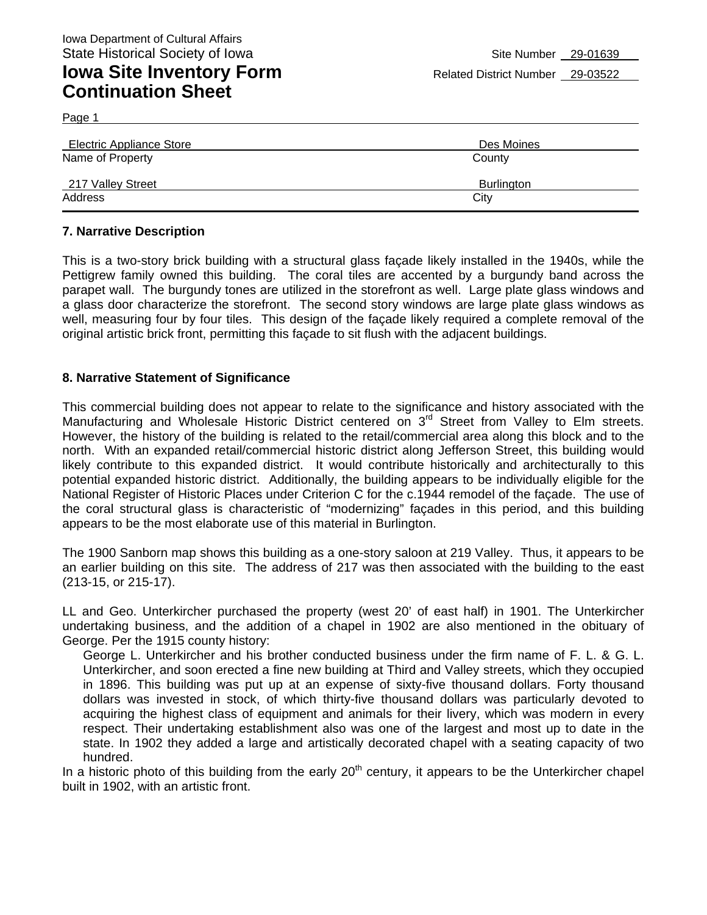Page 1

| Electric Appliance Store | Des Moines        |
|--------------------------|-------------------|
| Name of Property         | County            |
| 217 Valley Street        | <b>Burlington</b> |
| Address                  | City              |

### **7. Narrative Description**

This is a two-story brick building with a structural glass façade likely installed in the 1940s, while the Pettigrew family owned this building. The coral tiles are accented by a burgundy band across the parapet wall. The burgundy tones are utilized in the storefront as well. Large plate glass windows and a glass door characterize the storefront. The second story windows are large plate glass windows as well, measuring four by four tiles. This design of the façade likely required a complete removal of the original artistic brick front, permitting this façade to sit flush with the adjacent buildings.

### **8. Narrative Statement of Significance**

This commercial building does not appear to relate to the significance and history associated with the Manufacturing and Wholesale Historic District centered on 3<sup>rd</sup> Street from Valley to Elm streets. However, the history of the building is related to the retail/commercial area along this block and to the north. With an expanded retail/commercial historic district along Jefferson Street, this building would likely contribute to this expanded district. It would contribute historically and architecturally to this potential expanded historic district. Additionally, the building appears to be individually eligible for the National Register of Historic Places under Criterion C for the c.1944 remodel of the façade. The use of the coral structural glass is characteristic of "modernizing" façades in this period, and this building appears to be the most elaborate use of this material in Burlington.

The 1900 Sanborn map shows this building as a one-story saloon at 219 Valley. Thus, it appears to be an earlier building on this site. The address of 217 was then associated with the building to the east (213-15, or 215-17).

LL and Geo. Unterkircher purchased the property (west 20' of east half) in 1901. The Unterkircher undertaking business, and the addition of a chapel in 1902 are also mentioned in the obituary of George. Per the 1915 county history:

George L. Unterkircher and his brother conducted business under the firm name of F. L. & G. L. Unterkircher, and soon erected a fine new building at Third and Valley streets, which they occupied in 1896. This building was put up at an expense of sixty-five thousand dollars. Forty thousand dollars was invested in stock, of which thirty-five thousand dollars was particularly devoted to acquiring the highest class of equipment and animals for their livery, which was modern in every respect. Their undertaking establishment also was one of the largest and most up to date in the state. In 1902 they added a large and artistically decorated chapel with a seating capacity of two hundred.

In a historic photo of this building from the early  $20<sup>th</sup>$  century, it appears to be the Unterkircher chapel built in 1902, with an artistic front.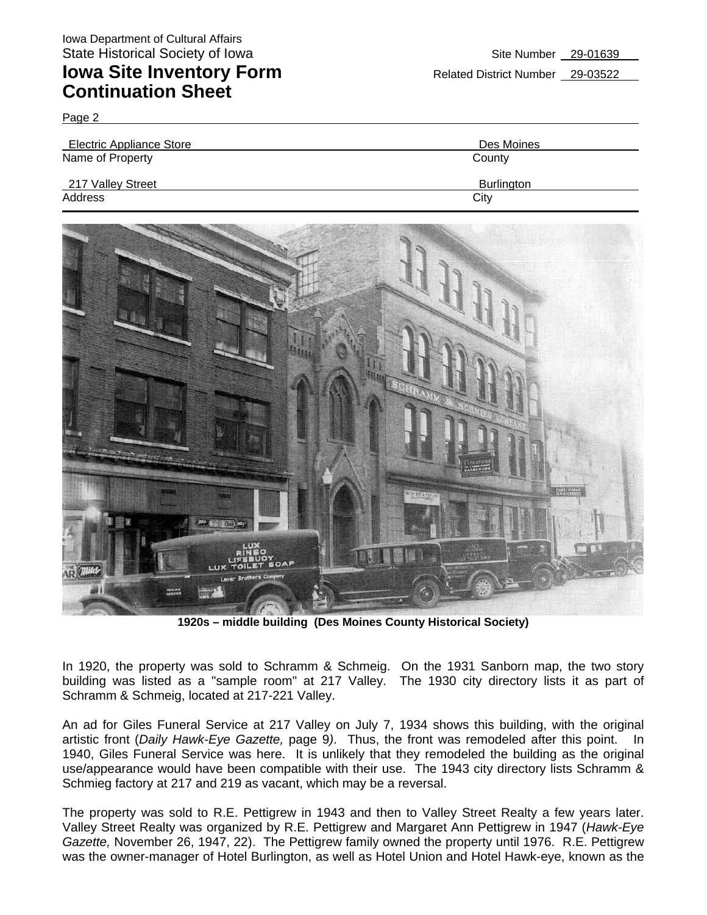Page 2

| Electric Appliance Store | Des Moines |
|--------------------------|------------|
| Name of Property         | County     |
| 217 Valley Street        | Burlington |
| Address                  | City       |



**1920s – middle building (Des Moines County Historical Society)** 

In 1920, the property was sold to Schramm & Schmeig. On the 1931 Sanborn map, the two story building was listed as a "sample room" at 217 Valley. The 1930 city directory lists it as part of Schramm & Schmeig, located at 217-221 Valley.

An ad for Giles Funeral Service at 217 Valley on July 7, 1934 shows this building, with the original artistic front (*Daily Hawk-Eye Gazette,* page 9*)*. Thus, the front was remodeled after this point. In 1940, Giles Funeral Service was here. It is unlikely that they remodeled the building as the original use/appearance would have been compatible with their use. The 1943 city directory lists Schramm & Schmieg factory at 217 and 219 as vacant, which may be a reversal.

The property was sold to R.E. Pettigrew in 1943 and then to Valley Street Realty a few years later. Valley Street Realty was organized by R.E. Pettigrew and Margaret Ann Pettigrew in 1947 (*Hawk-Eye Gazette,* November 26, 1947, 22). The Pettigrew family owned the property until 1976. R.E. Pettigrew was the owner-manager of Hotel Burlington, as well as Hotel Union and Hotel Hawk-eye, known as the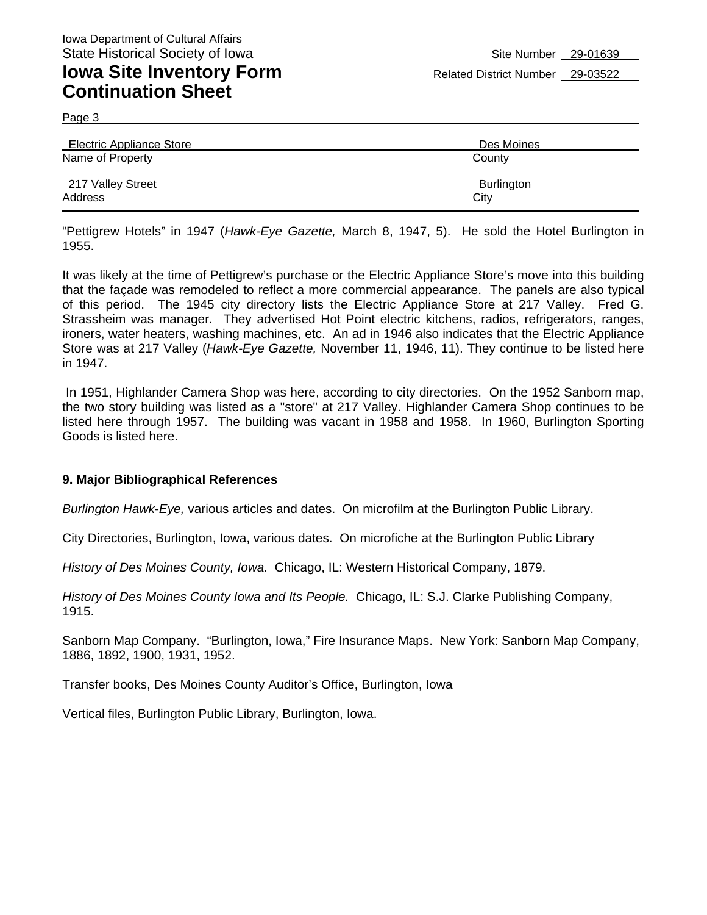Page 3

| Electric Appliance Store | Des Moines        |
|--------------------------|-------------------|
| Name of Property         | County            |
| 217 Valley Street        | <b>Burlington</b> |
| Address                  | City              |

"Pettigrew Hotels" in 1947 (*Hawk-Eye Gazette,* March 8, 1947, 5). He sold the Hotel Burlington in 1955.

It was likely at the time of Pettigrew's purchase or the Electric Appliance Store's move into this building that the façade was remodeled to reflect a more commercial appearance. The panels are also typical of this period. The 1945 city directory lists the Electric Appliance Store at 217 Valley. Fred G. Strassheim was manager. They advertised Hot Point electric kitchens, radios, refrigerators, ranges, ironers, water heaters, washing machines, etc. An ad in 1946 also indicates that the Electric Appliance Store was at 217 Valley (*Hawk-Eye Gazette,* November 11, 1946, 11). They continue to be listed here in 1947.

 In 1951, Highlander Camera Shop was here, according to city directories. On the 1952 Sanborn map, the two story building was listed as a "store" at 217 Valley. Highlander Camera Shop continues to be listed here through 1957. The building was vacant in 1958 and 1958. In 1960, Burlington Sporting Goods is listed here.

#### **9. Major Bibliographical References**

*Burlington Hawk-Eye,* various articles and dates. On microfilm at the Burlington Public Library.

City Directories, Burlington, Iowa, various dates. On microfiche at the Burlington Public Library

*History of Des Moines County, Iowa.* Chicago, IL: Western Historical Company, 1879.

*History of Des Moines County Iowa and Its People.* Chicago, IL: S.J. Clarke Publishing Company, 1915.

Sanborn Map Company. "Burlington, Iowa," Fire Insurance Maps. New York: Sanborn Map Company, 1886, 1892, 1900, 1931, 1952.

Transfer books, Des Moines County Auditor's Office, Burlington, Iowa

Vertical files, Burlington Public Library, Burlington, Iowa.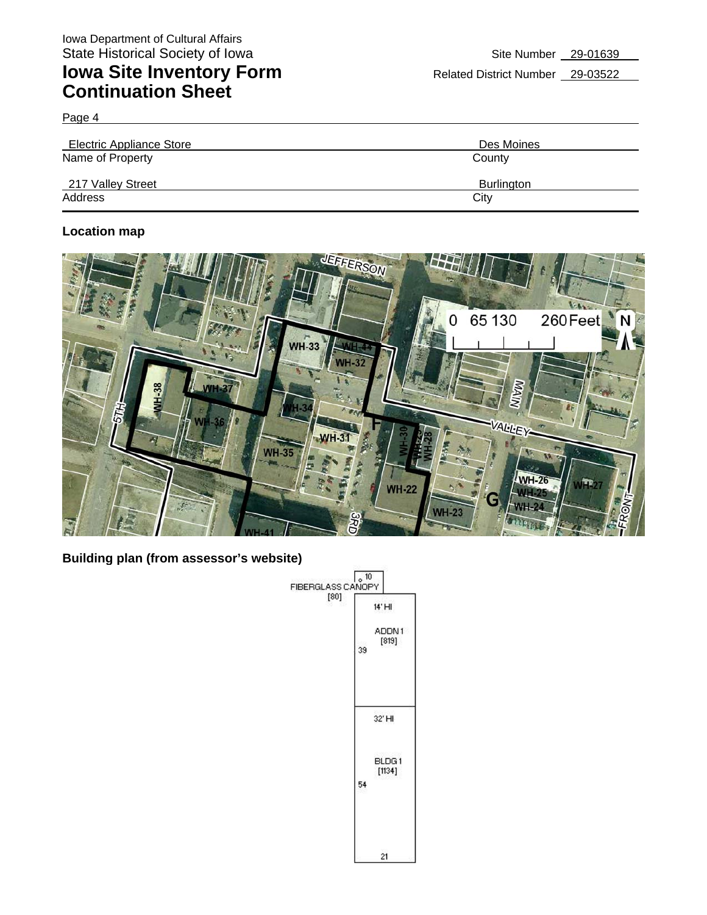Page 4

| Electric Appliance Store | Des Moines        |
|--------------------------|-------------------|
| Name of Property         | County            |
| 217 Valley Street        | <b>Burlington</b> |
| Address                  | City              |

## **Location map**